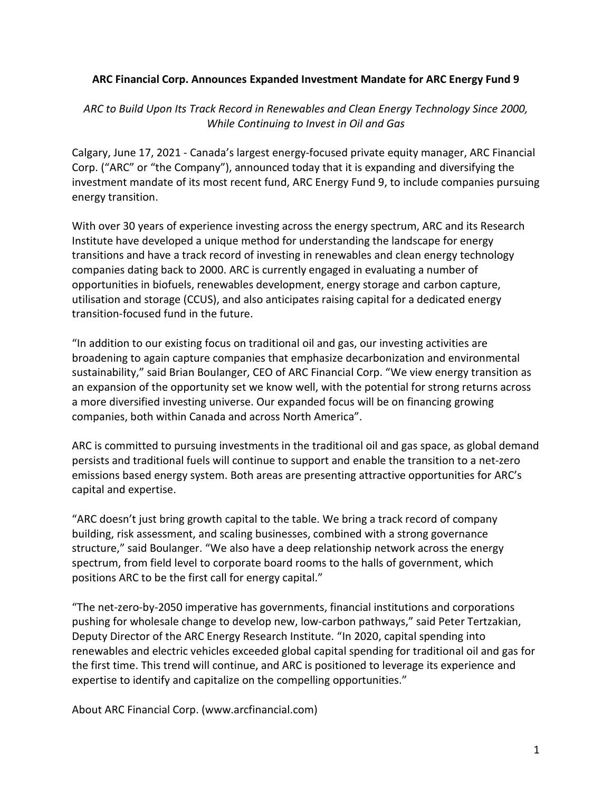## **ARC Financial Corp. Announces Expanded Investment Mandate for ARC Energy Fund 9**

## *ARC to Build Upon Its Track Record in Renewables and Clean Energy Technology Since 2000, While Continuing to Invest in Oil and Gas*

Calgary, June 17, 2021 - Canada's largest energy-focused private equity manager, ARC Financial Corp. ("ARC" or "the Company"), announced today that it is expanding and diversifying the investment mandate of its most recent fund, ARC Energy Fund 9, to include companies pursuing energy transition.

With over 30 years of experience investing across the energy spectrum, ARC and its Research Institute have developed a unique method for understanding the landscape for energy transitions and have a track record of investing in renewables and clean energy technology companies dating back to 2000. ARC is currently engaged in evaluating a number of opportunities in biofuels, renewables development, energy storage and carbon capture, utilisation and storage (CCUS), and also anticipates raising capital for a dedicated energy transition-focused fund in the future.

"In addition to our existing focus on traditional oil and gas, our investing activities are broadening to again capture companies that emphasize decarbonization and environmental sustainability," said Brian Boulanger, CEO of ARC Financial Corp. "We view energy transition as an expansion of the opportunity set we know well, with the potential for strong returns across a more diversified investing universe. Our expanded focus will be on financing growing companies, both within Canada and across North America".

ARC is committed to pursuing investments in the traditional oil and gas space, as global demand persists and traditional fuels will continue to support and enable the transition to a net-zero emissions based energy system. Both areas are presenting attractive opportunities for ARC's capital and expertise.

"ARC doesn't just bring growth capital to the table. We bring a track record of company building, risk assessment, and scaling businesses, combined with a strong governance structure," said Boulanger. "We also have a deep relationship network across the energy spectrum, from field level to corporate board rooms to the halls of government, which positions ARC to be the first call for energy capital."

"The net-zero-by-2050 imperative has governments, financial institutions and corporations pushing for wholesale change to develop new, low-carbon pathways," said Peter Tertzakian, Deputy Director of the ARC Energy Research Institute. "In 2020, capital spending into renewables and electric vehicles exceeded global capital spending for traditional oil and gas for the first time. This trend will continue, and ARC is positioned to leverage its experience and expertise to identify and capitalize on the compelling opportunities."

About ARC Financial Corp. (www.arcfinancial.com)